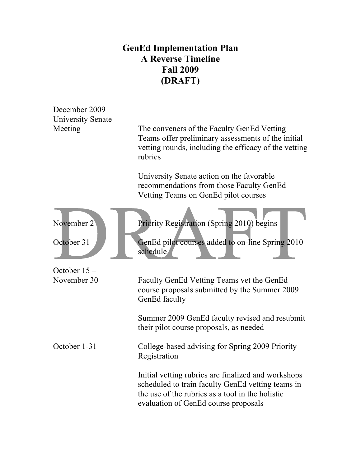## **GenEd Implementation Plan A Reverse Timeline Fall 2009 (DRAFT)**